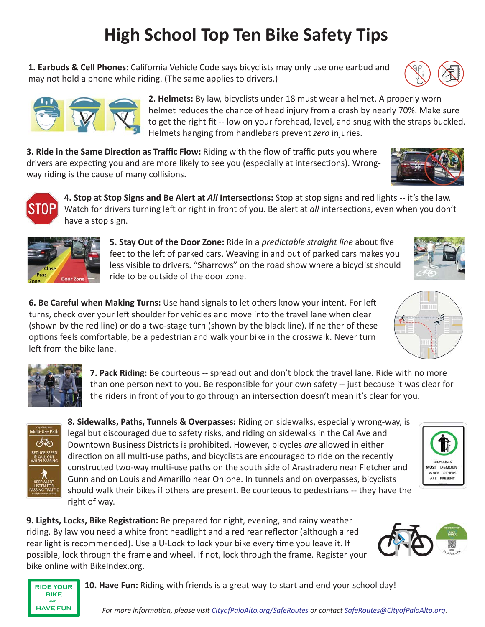# **High School Top Ten Bike Safety Tips**

**1. Earbuds & Cell Phones:** California Vehicle Code says bicyclists may only use one earbud and may not hold a phone while riding. (The same applies to drivers.)

> **2. Helmets:** By law, bicyclists under 18 must wear a helmet. A properly worn helmet reduces the chance of head injury from a crash by nearly 70%. Make sure to get the right fit -- low on your forehead, level, and snug with the straps buckled. Helmets hanging from handlebars prevent *zero* injuries.

**3. Ride in the Same Direction as Traffic Flow:** Riding with the flow of traffic puts you where drivers are expecting you and are more likely to see you (especially at intersections). Wrongway riding is the cause of many collisions.

> **4. Stop at Stop Signs and Be Alert at** *All* **Intersections:** Stop at stop signs and red lights -- it's the law. Watch for drivers turning left or right in front of you. Be alert at *all* intersections, even when you don't have a stop sign.

> > **5. Stay Out of the Door Zone:** Ride in a *predictable straight line* about five feet to the left of parked cars. Weaving in and out of parked cars makes you less visible to drivers. "Sharrows" on the road show where a bicyclist should ride to be outside of the door zone.

**6. Be Careful when Making Turns:** Use hand signals to let others know your intent. For left turns, check over your left shoulder for vehicles and move into the travel lane when clear (shown by the red line) or do a two-stage turn (shown by the black line). If neither of these options feels comfortable, be a pedestrian and walk your bike in the crosswalk. Never turn left from the bike lane.

> **7. Pack Riding:** Be courteous -- spread out and don't block the travel lane. Ride with no more than one person next to you. Be responsible for your own safety -- just because it was clear for the riders in front of you to go through an intersection doesn't mean it's clear for you.

8. Sidewalks, Paths, Tunnels & Overpasses: Riding on sidewalks, especially wrong-way, is legal but discouraged due to safety risks, and riding on sidewalks in the Cal Ave and Downtown Business Districts is prohibited. However, bicycles *are* allowed in either direction on all multi-use paths, and bicyclists are encouraged to ride on the recently constructed two-way multi-use paths on the south side of Arastradero near Fletcher and Gunn and on Louis and Amarillo near Ohlone. In tunnels and on overpasses, bicyclists should walk their bikes if others are present. Be courteous to pedestrians -- they have the right of way.

**9. Lights, Locks, Bike Registration:** Be prepared for night, evening, and rainy weather riding. By law you need a white front headlight and a red rear reflector (although a red rear light is recommended). Use a U-Lock to lock your bike every time you leave it. If possible, lock through the frame and wheel. If not, lock through the frame. Register your bike online with BikeIndex.org.

**RIDE YOUR BIKE HAVE FUN and**

10. Have Fun: Riding with friends is a great way to start and end your school day!





**ulti-Use Patl** රෑම



**Door Zon**